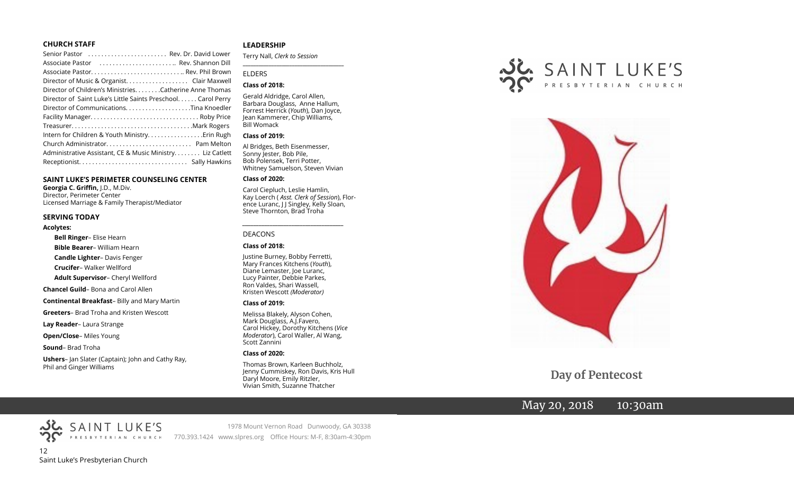#### **CHURCH STAFF**

| Senior Pastor  Rev. Dr. David Lower                          |
|--------------------------------------------------------------|
| Associate Pastor  Rev. Shannon Dill                          |
| Associate Pastor Rev. Phil Brown                             |
|                                                              |
| Director of Children's Ministries. Catherine Anne Thomas     |
| Director of Saint Luke's Little Saints Preschool Carol Perry |
|                                                              |
|                                                              |
|                                                              |
| Intern for Children & Youth Ministry Erin Rugh               |
|                                                              |
| Administrative Assistant, CE & Music Ministry Liz Catlett    |
|                                                              |

#### **SAINT LUKE'S PERIMETER COUNSELING CENTER**

**Georgia C. Griffin,** J.D., M.Div. Director, Perimeter Center Licensed Marriage & Family Therapist/Mediator

#### **SERVING TODAY**

#### **Acolytes:**

**Bell Ringer**– Elise Hearn

**Bible Bearer**– William Hearn

**Candle Lighter**– Davis Fenger

**Crucifer**– Walker Wellford

**Adult Supervisor**– Cheryl Wellford

**Chancel Guild**– Bona and Carol Allen

**Continental Breakfast**– Billy and Mary Martin

**Greeters**– Brad Troha and Kristen Wescott

**Lay Reader**– Laura Strange

**Open/Close**– Miles Young

**Sound**– Brad Troha

**Ushers**– Jan Slater (Captain); John and Cathy Ray, Phil and Ginger Williams

#### **LEADERSHIP**

Terry Nall, *Clerk to Session* 

#### ELDERS

#### **Class of 2018:**

Gerald Aldridge, Carol Allen, Barbara Douglass, Anne Hallum, Forrest Herrick (*Youth*), Dan Joyce, Jean Kammerer, Chip Williams, Bill Womack

**\_\_\_\_\_\_\_\_\_\_\_\_\_\_\_\_\_\_\_\_\_\_\_\_\_\_\_\_\_\_\_\_\_\_\_\_\_\_\_**

#### **Class of 2019:**

Al Bridges, Beth Eisenmesser, Sonny Jester, Bob Pile, Bob Polensek, Terri Potter, Whitney Samuelson, Steven Vivian

#### **Class of 2020:**

Carol Ciepluch, Leslie Hamlin, Kay Loerch ( *Asst. Clerk of Session*), Florence Luranc, J J Singley, Kelly Sloan, Steve Thornton, Brad Troha

*\_\_\_\_\_\_\_\_\_\_\_\_\_\_\_\_\_\_\_\_\_\_\_\_\_\_\_\_\_\_\_\_\_\_\_\_\_*

#### DEACONS

#### **Class of 2018:**

Justine Burney, Bobby Ferretti, Mary Frances Kitchens (*Youth*), Diane Lemaster, Joe Luranc, Lucy Painter, Debbie Parkes, Ron Valdes, Shari Wassell, Kristen Wescott *(Moderator)*

#### **Class of 2019:**

Melissa Blakely, Alyson Cohen, Mark Douglass, A.J.Favero, Carol Hickey, Dorothy Kitchens (*Vice Moderator*), Carol Waller, Al Wang, Scott Zannini

#### **Class of 2020:**

Thomas Brown, Karleen Buchholz, Jenny Cummiskey, Ron Davis, Kris Hull Daryl Moore, Emily Ritzler, Vivian Smith, Suzanne Thatcher





 **Day of Pentecost**

# May 20, 2018 10:30am

12 Saint Luke's Presbyterian Church

SAINT LUKE'S

1978 Mount Vernon Road Dunwoody, GA 30338 770.393.1424 www.slpres.org Office Hours: M-F, 8:30am-4:30pm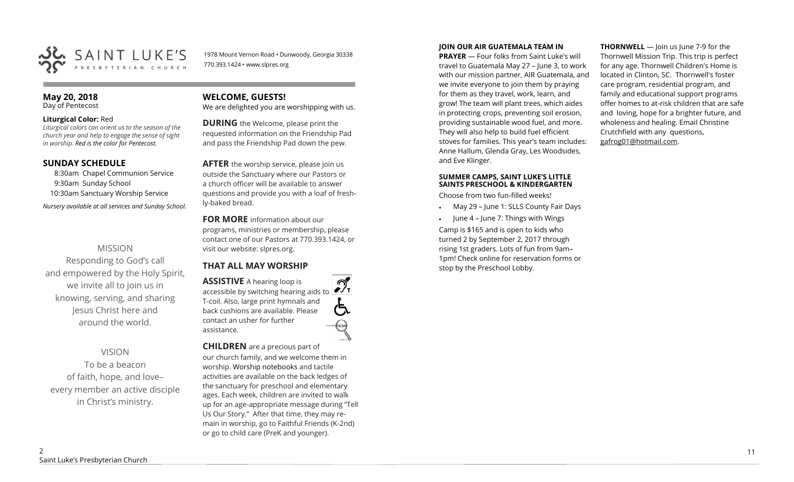

1978 Mount Vernon Road • Dunwoody, Georgia 30338 770.393.1424 • www.slpres.org

#### **May 20, 2018**  Day of Pentecost

#### **Liturgical Color:** Red

*Liturgical colors can orient us to the season of the church year and help to engage the sense of sight in worship. Red is the color for Pentecost.* 

# **SUNDAY SCHEDULE**

8:30am Chapel Communion Service 9:30am Sunday School 10:30am Sanctuary Worship Service *Nursery available at all services and Sunday School.* 

# MISSION

Responding to God's call and empowered by the Holy Spirit, we invite all to join us in knowing, serving, and sharing Jesus Christ here and around the world.

# VISION

To be a beacon of faith, hope, and love– every member an active disciple in Christ's ministry.

# **WELCOME, GUESTS!**

We are delighted you are worshipping with us.

**DURING** the Welcome, please print the requested information on the Friendship Pad and pass the Friendship Pad down the pew.

**AFTER** the worship service, please join us outside the Sanctuary where our Pastors or a church officer will be available to answer questions and provide you with a loaf of freshly-baked bread.

**FOR MORE** information about our programs, ministries or membership, please contact one of our Pastors at 770.393.1424, or visit our website: slpres.org.

# **THAT ALL MAY WORSHIP**

**ASSISTIVE** A hearing loop is  $\mathcal{D}_{\mathrm{r}}$ accessible by switching hearing aids to T-coil. Also, large print hymnals and back cushions are available. Please contact an usher for further assistance.

#### **CHILDREN** are a precious part of

our church family, and we welcome them in worship. Worship notebooks and tactile activities are available on the back ledges of the sanctuary for preschool and elementary ages. Each week, children are invited to walk up for an age-appropriate message during "Tell Us Our Story." After that time, they may remain in worship, go to Faithful Friends (K-2nd) or go to child care (PreK and younger).

#### **JOIN OUR AIR GUATEMALA TEAM IN**

**PRAYER** — Four folks from Saint Luke's will travel to Guatemala May 27 – June 3, to work with our mission partner, AIR Guatemala, and we invite everyone to join them by praying for them as they travel, work, learn, and grow! The team will plant trees, which aides in protecting crops, preventing soil erosion, providing sustainable wood fuel, and more. They will also help to build fuel efficient stoves for families. This year's team includes: Anne Hallum, Glenda Gray, Les Woodsides, and Eve Klinger.

#### **SUMMER CAMPS, SAINT LUKE'S LITTLE SAINTS PRESCHOOL & KINDERGARTEN**

Choose from two fun-filled weeks!

- May 29 June 1: SLLS County Fair Days
- June 4 June 7: Things with Wings

Camp is \$165 and is open to kids who turned 2 by September 2, 2017 through rising 1st graders. Lots of fun from 9am– 1pm! Check online for reservation forms or stop by the Preschool Lobby.

**THORNWELL** — Join us June 7-9 for the Thornwell Mission Trip. This trip is perfect for any age. Thornwell Children's Home is located in Clinton, SC. Thornwell's foster care program, residential program, and family and educational support programs offer homes to at-risk children that are safe and loving, hope for a brighter future, and wholeness and healing. Email Christine Crutchfield with any questions, gafrog01@hotmail.com.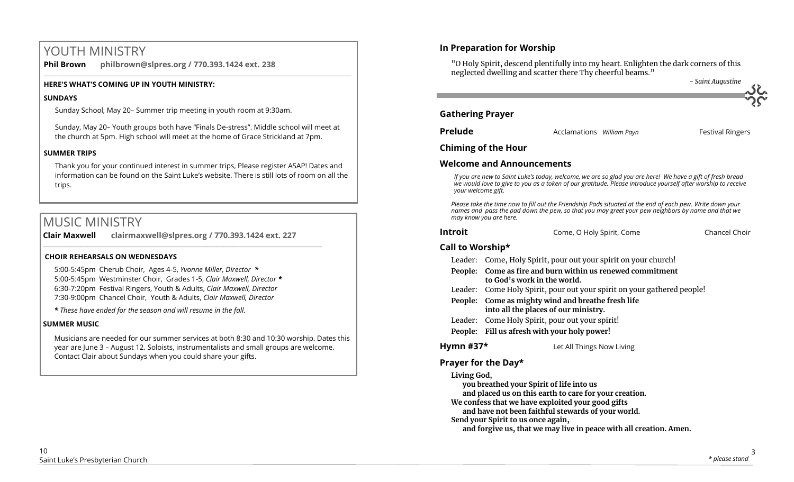# YOUTH MINISTRY

**Phil Brown philbrown@slpres.org / 770.393.1424 ext. 238**   $\_$  ,  $\_$  ,  $\_$  ,  $\_$  ,  $\_$  ,  $\_$  ,  $\_$  ,  $\_$  ,  $\_$  ,  $\_$  ,  $\_$  ,  $\_$  ,  $\_$  ,  $\_$  ,  $\_$  ,  $\_$  ,  $\_$  ,  $\_$  ,  $\_$  ,  $\_$ 

# **HERE'S WHAT'S COMING UP IN YOUTH MINISTRY:**

# **SUNDAYS**

Sunday School, May 20– Summer trip meeting in youth room at 9:30am.

Sunday, May 20– Youth groups both have "Finals De-stress". Middle school will meet at the church at 5pm. High school will meet at the home of Grace Strickland at 7pm.

# **SUMMER TRIPS**

Thank you for your continued interest in summer trips, Please register ASAP! Dates and information can be found on the Saint Luke's website. There is still lots of room on all the trips.

# MUSIC MINISTRY

**Clair Maxwell clairmaxwell@slpres.org / 770.393.1424 ext. 227**   $\_$  , and the set of the set of the set of the set of the set of the set of the set of the set of the set of the set of the set of the set of the set of the set of the set of the set of the set of the set of the set of th

# **CHOIR REHEARSALS ON WEDNESDAYS**

5:00-5:45pm Cherub Choir, Ages 4-5, *Yvonne Miller, Director \** 5:00-5:45pm Westminster Choir, Grades 1-5, *Clair Maxwell, Director \**  6:30-7:20pm Festival Ringers, Youth & Adults, *Clair Maxwell, Director*  7:30-9:00pm Chancel Choir, Youth & Adults, *Clair Maxwell, Director* 

*\* These have ended for the season and will resume in the fall.*

# **SUMMER MUSIC**

Musicians are needed for our summer services at both 8:30 and 10:30 worship. Dates this year are June 3 – August 12. Soloists, instrumentalists and small groups are welcome. Contact Clair about Sundays when you could share your gifts.

# **In Preparation for Worship**

"O Holy Spirit, descend plentifully into my heart. Enlighten the dark corners of this neglected dwelling and scatter there Thy cheerful beams." *- Saint Augustine*

|                         |                           | - Saint Augustine       |
|-------------------------|---------------------------|-------------------------|
| <b>Gathering Prayer</b> |                           |                         |
| <b>Prelude</b>          | Acclamations William Payn | <b>Festival Ringers</b> |

# **Chiming of the Hour**

# **Welcome and Announcements**

*If you are new to Saint Luke's today, welcome, we are so glad you are here! We have a gift of fresh bread we would love to give to you as a token of our gratitude. Please introduce yourself after worship to receive your welcome gift.*

*Please take the time now to fill out the Friendship Pads situated at the end of each pew. Write down your names and pass the pad down the pew, so that you may greet your pew neighbors by name and that we may know you are here.*

|  | <b>Introit</b> | Come, O Holy Spirit, Come | Chancel Choir |
|--|----------------|---------------------------|---------------|
|--|----------------|---------------------------|---------------|

# **Call to Worship\***

|  |  | Leader: Come, Holy Spirit, pour out your spirit on your church! |
|--|--|-----------------------------------------------------------------|
|  |  |                                                                 |

- **People: Come as fire and burn within us renewed commitment to God's work in the world.**
- Leader: Come Holy Spirit, pour out your spirit on your gathered people!
- **People: Come as mighty wind and breathe fresh life into all the places of our ministry.**
- Leader: Come Holy Spirit, pour out your spirit!
- **People: Fill us afresh with your holy power!**

**Hymn #37\*** Let All Things Now Living

# **Prayer for the Day\***

# **Living God,**

**you breathed your Spirit of life into us** 

**and placed us on this earth to care for your creation.** 

**We confess that we have exploited your good gifts** 

**and have not been faithful stewards of your world.** 

**Send your Spirit to us once again,** 

**and forgive us, that we may live in peace with all creation. Amen.**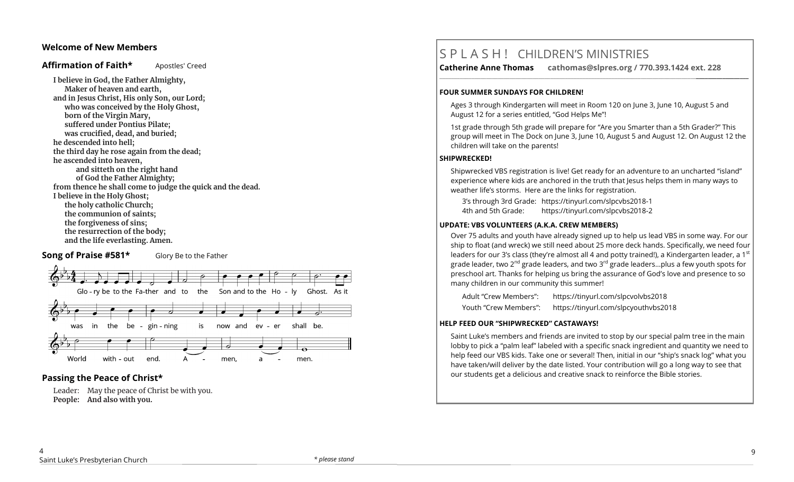# **Welcome of New Members**

# Affirmation of Faith\* Apostles' Creed

**I believe in God, the Father Almighty, Maker of heaven and earth, and in Jesus Christ, His only Son, our Lord; who was conceived by the Holy Ghost, born of the Virgin Mary, suffered under Pontius Pilate; was crucified, dead, and buried; he descended into hell; the third day he rose again from the dead; he ascended into heaven, and sitteth on the right hand of God the Father Almighty; from thence he shall come to judge the quick and the dead. I believe in the Holy Ghost; the holy catholic Church; the communion of saints; the forgiveness of sins; the resurrection of the body; and the life everlasting. Amen.**

# **Song of Praise #581\*** Glory Be to the Father



# **Passing the Peace of Christ\***

Leader: May the peace of Christ be with you. **People: And also with you.** 

# S P L A S H ! CHILDREN'S MINISTRIES

**Catherine Anne Thomas cathomas@slpres.org / 770.393.1424 ext. 228** 

#### **FOUR SUMMER SUNDAYS FOR CHILDREN!**

Ages 3 through Kindergarten will meet in Room 120 on June 3, June 10, August 5 and August 12 for a series entitled, "God Helps Me"!

**\_\_\_\_\_\_\_\_\_\_\_\_\_\_\_\_\_\_\_\_\_\_\_\_\_\_\_\_\_\_\_\_\_\_\_\_\_\_\_\_\_\_\_\_\_\_\_\_\_\_\_\_\_\_\_\_\_\_\_\_\_\_\_\_\_\_\_\_\_\_\_\_\_\_\_\_\_\_\_\_\_\_\_\_\_\_\_\_\_\_\_\_\_\_\_\_\_\_\_\_\_\_\_\_\_\_** 

1st grade through 5th grade will prepare for "Are you Smarter than a 5th Grader?" This group will meet in The Dock on June 3, June 10, August 5 and August 12. On August 12 the children will take on the parents!

# **SHIPWRECKED!**

Shipwrecked VBS registration is live! Get ready for an adventure to an uncharted "island" experience where kids are anchored in the truth that Jesus helps them in many ways to weather life's storms. Here are the links for registration.

3's through 3rd Grade: https://tinyurl.com/slpcvbs2018-1

4th and 5th Grade: https://tinyurl.com/slpcvbs2018-2

### **UPDATE: VBS VOLUNTEERS (A.K.A. CREW MEMBERS)**

Over 75 adults and youth have already signed up to help us lead VBS in some way. For our ship to float (and wreck) we still need about 25 more deck hands. Specifically, we need four leaders for our 3's class (they're almost all 4 and potty trained!), a Kindergarten leader, a 1<sup>st</sup> grade leader, two 2<sup>nd</sup> grade leaders, and two 3<sup>rd</sup> grade leaders...plus a few youth spots for preschool art. Thanks for helping us bring the assurance of God's love and presence to so many children in our community this summer!

Adult "Crew Members": https://tinyurl.com/slpcvolvbs2018 Youth "Crew Members": https://tinyurl.com/slpcyouthvbs2018

#### **HELP FEED OUR "SHIPWRECKED" CASTAWAYS!**

Saint Luke's members and friends are invited to stop by our special palm tree in the main lobby to pick a "palm leaf" labeled with a specific snack ingredient and quantity we need to help feed our VBS kids. Take one or several! Then, initial in our "ship's snack log" what you have taken/will deliver by the date listed. Your contribution will go a long way to see that our students get a delicious and creative snack to reinforce the Bible stories.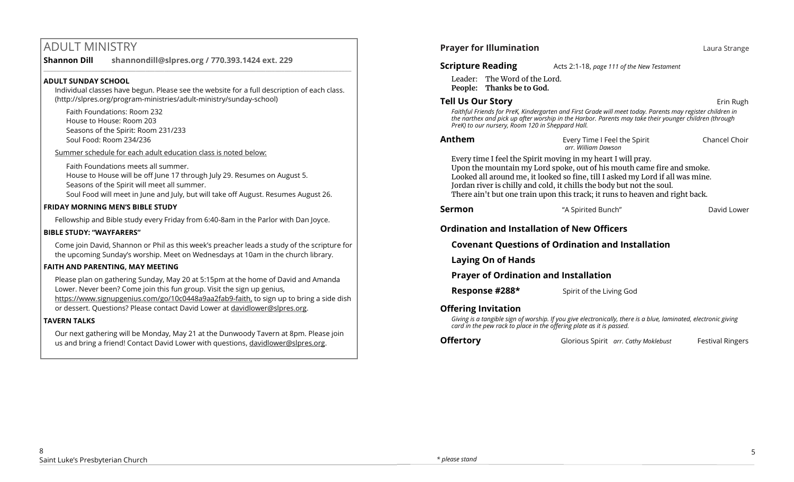# ADULT MINISTRY

#### **Shannon Dill shannondill@slpres.org / 770.393.1424 ext. 229**   $\_$  ,  $\_$  ,  $\_$  ,  $\_$  ,  $\_$  ,  $\_$  ,  $\_$  ,  $\_$  ,  $\_$  ,  $\_$  ,  $\_$  ,  $\_$  ,  $\_$  ,  $\_$  ,  $\_$  ,  $\_$  ,  $\_$  ,  $\_$  ,  $\_$  ,  $\_$

# **ADULT SUNDAY SCHOOL**

Individual classes have begun. Please see the website for a full description of each class. (http://slpres.org/program-ministries/adult-ministry/sunday-school)

Faith Foundations: Room 232 House to House: Room 203 Seasons of the Spirit: Room 231/233 Soul Food: Room 234/236

Summer schedule for each adult education class is noted below:

Faith Foundations meets all summer. House to House will be off June 17 through July 29. Resumes on August 5.

Seasons of the Spirit will meet all summer.

Soul Food will meet in June and July, but will take off August. Resumes August 26.

### **FRIDAY MORNING MEN'S BIBLE STUDY**

Fellowship and Bible study every Friday from 6:40-8am in the Parlor with Dan Joyce.

# **BIBLE STUDY: "WAYFARERS"**

Come join David, Shannon or Phil as this week's preacher leads a study of the scripture for the upcoming Sunday's worship. Meet on Wednesdays at 10am in the church library.

# **FAITH AND PARENTING, MAY MEETING**

Please plan on gathering Sunday, May 20 at 5:15pm at the home of David and Amanda Lower. Never been? Come join this fun group. Visit the sign up genius, https://www.signupgenius.com/go/10c0448a9aa2fab9-faith, to sign up to bring a side dish or dessert. Questions? Please contact David Lower at davidlower@slpres.org.

# **TAVERN TALKS**

Our next gathering will be Monday, May 21 at the Dunwoody Tavern at 8pm. Please join us and bring a friend! Contact David Lower with questions, davidlower@slpres.org.

| <b>Prayer for Illumination</b>                                        |                                                                                                                                                                                                                                                                                                                                                                                   | Laura Strange           |
|-----------------------------------------------------------------------|-----------------------------------------------------------------------------------------------------------------------------------------------------------------------------------------------------------------------------------------------------------------------------------------------------------------------------------------------------------------------------------|-------------------------|
| <b>Scripture Reading</b>                                              | Acts 2:1-18, page 111 of the New Testament                                                                                                                                                                                                                                                                                                                                        |                         |
| The Word of the Lord.<br>Leader:<br>People: Thanks be to God.         |                                                                                                                                                                                                                                                                                                                                                                                   |                         |
| Tell Us Our Story<br>PreK) to our nursery, Room 120 in Sheppard Hall. | Faithful Friends for PreK, Kindergarten and First Grade will meet today. Parents may register children in<br>the narthex and pick up after worship in the Harbor. Parents may take their younger children (through                                                                                                                                                                | Erin Rugh               |
| Anthem                                                                | Every Time I Feel the Spirit<br>arr, William Dawson                                                                                                                                                                                                                                                                                                                               | Chancel Choir           |
|                                                                       | Every time I feel the Spirit moving in my heart I will pray.<br>Upon the mountain my Lord spoke, out of his mouth came fire and smoke.<br>Looked all around me, it looked so fine, till I asked my Lord if all was mine.<br>Jordan river is chilly and cold, it chills the body but not the soul.<br>There ain't but one train upon this track; it runs to heaven and right back. |                         |
| Sermon                                                                | "A Spirited Bunch"                                                                                                                                                                                                                                                                                                                                                                | David Lower             |
| <b>Ordination and Installation of New Officers</b>                    |                                                                                                                                                                                                                                                                                                                                                                                   |                         |
|                                                                       | <b>Covenant Questions of Ordination and Installation</b>                                                                                                                                                                                                                                                                                                                          |                         |
| <b>Laying On of Hands</b>                                             |                                                                                                                                                                                                                                                                                                                                                                                   |                         |
| <b>Prayer of Ordination and Installation</b>                          |                                                                                                                                                                                                                                                                                                                                                                                   |                         |
| Response #288*                                                        | Spirit of the Living God                                                                                                                                                                                                                                                                                                                                                          |                         |
| <b>Offering Invitation</b>                                            | Giving is a tangible sign of worship. If you give electronically, there is a blue, laminated, electronic giving<br>card in the pew rack to place in the offering plate as it is passed.                                                                                                                                                                                           |                         |
| Offertory                                                             | Glorious Spirit arr. Cathy Moklebust                                                                                                                                                                                                                                                                                                                                              | <b>Festival Ringers</b> |
|                                                                       |                                                                                                                                                                                                                                                                                                                                                                                   |                         |